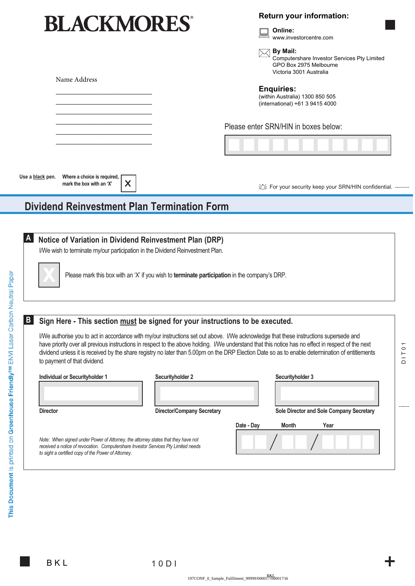# **BLACKMORES®**

\_\_\_\_\_\_\_\_\_\_\_\_\_\_\_\_\_\_\_\_\_\_\_ \_\_\_\_\_\_\_\_\_\_\_\_\_\_\_\_\_\_\_\_\_\_\_ \_\_\_\_\_\_\_\_\_\_\_\_\_\_\_\_\_\_\_\_\_\_\_ \_\_\_\_\_\_\_\_\_\_\_\_\_\_\_\_\_\_\_\_\_\_\_  $\overline{\phantom{a}}$  , where the contract of the contract of  $\overline{\phantom{a}}$ \_\_\_\_\_\_\_\_\_\_\_\_\_\_\_\_\_\_\_\_\_\_\_

## **Return your information:**



**By Mail:** Computershare Investor Services Pty Limited GPO Box 2975 Melbourne Victoria 3001 Australia

#### **Enquiries:**

(within Australia) 1300 850 505 (international) +61 3 9415 4000

Please enter SRN/HIN in boxes below:

**Where a choice is required, mark the box with an 'X' Use a black pen.**

论 For your security keep your SRN/HIN confidential. ---------

# **Dividend Reinvestment Plan Termination Form**

**X**

|  |  |  |  | A Notice of Variation in Dividend Reinvestment Plan (DRP) |  |  |
|--|--|--|--|-----------------------------------------------------------|--|--|
|--|--|--|--|-----------------------------------------------------------|--|--|

I/We wish to terminate my/our participation in the Dividend Reinvestment Plan.



Please mark this box with an 'X' if you wish to **terminate participation** in the company's DRP.

#### **Sign Here - This section must be signed for your instructions to be executed. B**

I/We authorise you to act in accordance with my/our instructions set out above. I/We acknowledge that these instructions supersede and have priority over all previous instructions in respect to the above holding. I/We understand that this notice has no effect in respect of the next dividend unless it is received by the share registry no later than 5.00pm on the DRP Election Date so as to enable determination of entitlements to payment of that dividend*.*

| Individual or Security holder 1                                                   | Securityholder 2                  |            | Securityholder 3 |                                          |  |
|-----------------------------------------------------------------------------------|-----------------------------------|------------|------------------|------------------------------------------|--|
| <b>Director</b>                                                                   | <b>Director/Company Secretary</b> |            |                  | Sole Director and Sole Company Secretary |  |
|                                                                                   |                                   | Date - Day | Month            | Year                                     |  |
| Note: When signed under Power of Attorney, the attorney states that they have not |                                   |            |                  |                                          |  |